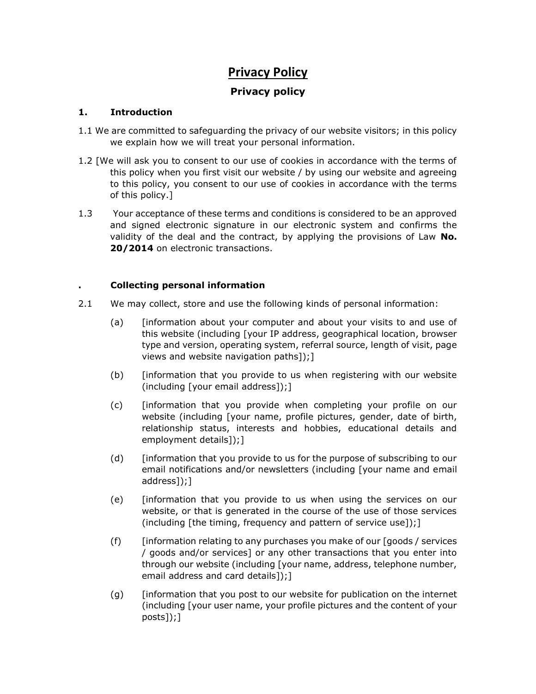# **Privacy Policy**

# **Privacy policy**

# **1. Introduction**

- 1.1 We are committed to safeguarding the privacy of our website visitors; in this policy we explain how we will treat your personal information.
- 1.2 [We will ask you to consent to our use of cookies in accordance with the terms of this policy when you first visit our website / by using our website and agreeing to this policy, you consent to our use of cookies in accordance with the terms of this policy.]
- 1.3 Your acceptance of these terms and conditions is considered to be an approved and signed electronic signature in our electronic system and confirms the validity of the deal and the contract, by applying the provisions of Law **No. 20/2014** on electronic transactions.

# **. Collecting personal information**

- 2.1 We may collect, store and use the following kinds of personal information:
	- (a) [information about your computer and about your visits to and use of this website (including [your IP address, geographical location, browser type and version, operating system, referral source, length of visit, page views and website navigation paths]);]
	- (b) [information that you provide to us when registering with our website (including [your email address]);]
	- (c) [information that you provide when completing your profile on our website (including [your name, profile pictures, gender, date of birth, relationship status, interests and hobbies, educational details and employment details]);]
	- (d) [information that you provide to us for the purpose of subscribing to our email notifications and/or newsletters (including [your name and email address]);]
	- (e) [information that you provide to us when using the services on our website, or that is generated in the course of the use of those services (including [the timing, frequency and pattern of service use]);]
	- (f)  $\int$  [information relating to any purchases you make of our [goods / services / goods and/or services] or any other transactions that you enter into through our website (including [your name, address, telephone number, email address and card details]);]
	- (g) [information that you post to our website for publication on the internet (including [your user name, your profile pictures and the content of your posts]);]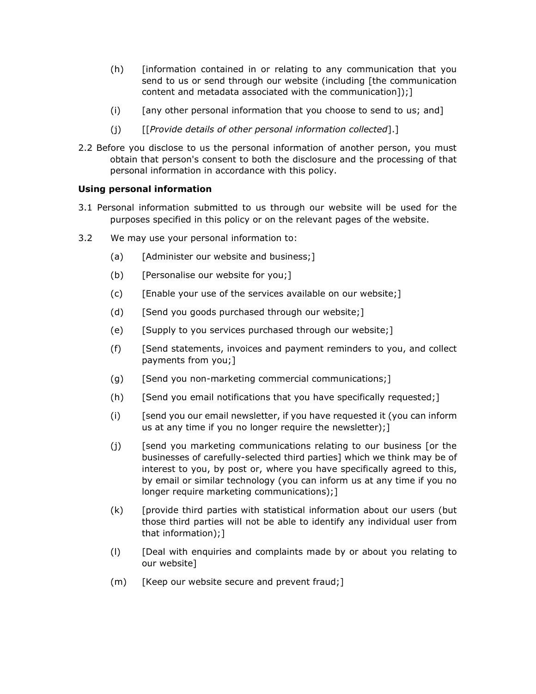- (h) [information contained in or relating to any communication that you send to us or send through our website (including [the communication content and metadata associated with the communication]);]
- (i) [any other personal information that you choose to send to us; and]
- (j) [[*Provide details of other personal information collected*].]
- 2.2 Before you disclose to us the personal information of another person, you must obtain that person's consent to both the disclosure and the processing of that personal information in accordance with this policy.

# **Using personal information**

- 3.1 Personal information submitted to us through our website will be used for the purposes specified in this policy or on the relevant pages of the website.
- 3.2 We may use your personal information to:
	- (a) [Administer our website and business;]
	- (b) [Personalise our website for you;]
	- (c) [Enable your use of the services available on our website;]
	- (d) [Send you goods purchased through our website;]
	- $(e)$  [Supply to you services purchased through our website;]
	- (f) [Send statements, invoices and payment reminders to you, and collect payments from you;]
	- (g) [Send you non-marketing commercial communications;]
	- (h) [Send you email notifications that you have specifically requested;]
	- $(i)$  [send you our email newsletter, if you have requested it (you can inform us at any time if you no longer require the newsletter);]
	- (j) [send you marketing communications relating to our business [or the businesses of carefully-selected third parties] which we think may be of interest to you, by post or, where you have specifically agreed to this, by email or similar technology (you can inform us at any time if you no longer require marketing communications);]
	- (k) [provide third parties with statistical information about our users (but those third parties will not be able to identify any individual user from that information);]
	- (l) [Deal with enquiries and complaints made by or about you relating to our website]
	- (m) [Keep our website secure and prevent fraud;]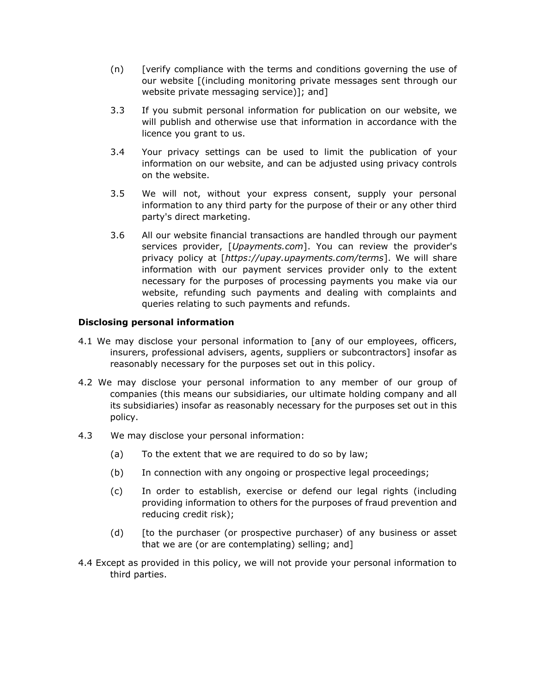- (n) [verify compliance with the terms and conditions governing the use of our website [(including monitoring private messages sent through our website private messaging service)]; and]
- 3.3 If you submit personal information for publication on our website, we will publish and otherwise use that information in accordance with the licence you grant to us.
- 3.4 Your privacy settings can be used to limit the publication of your information on our website, and can be adjusted using privacy controls on the website.
- 3.5 We will not, without your express consent, supply your personal information to any third party for the purpose of their or any other third party's direct marketing.
- 3.6 All our website financial transactions are handled through our payment services provider, [*Upayments.com*]. You can review the provider's privacy policy at [*https://upay.upayments.com/terms*]. We will share information with our payment services provider only to the extent necessary for the purposes of processing payments you make via our website, refunding such payments and dealing with complaints and queries relating to such payments and refunds.

# **Disclosing personal information**

- 4.1 We may disclose your personal information to [any of our employees, officers, insurers, professional advisers, agents, suppliers or subcontractors] insofar as reasonably necessary for the purposes set out in this policy.
- 4.2 We may disclose your personal information to any member of our group of companies (this means our subsidiaries, our ultimate holding company and all its subsidiaries) insofar as reasonably necessary for the purposes set out in this policy.
- 4.3 We may disclose your personal information:
	- (a) To the extent that we are required to do so by law;
	- (b) In connection with any ongoing or prospective legal proceedings;
	- (c) In order to establish, exercise or defend our legal rights (including providing information to others for the purposes of fraud prevention and reducing credit risk);
	- (d) [to the purchaser (or prospective purchaser) of any business or asset that we are (or are contemplating) selling; and]
- 4.4 Except as provided in this policy, we will not provide your personal information to third parties.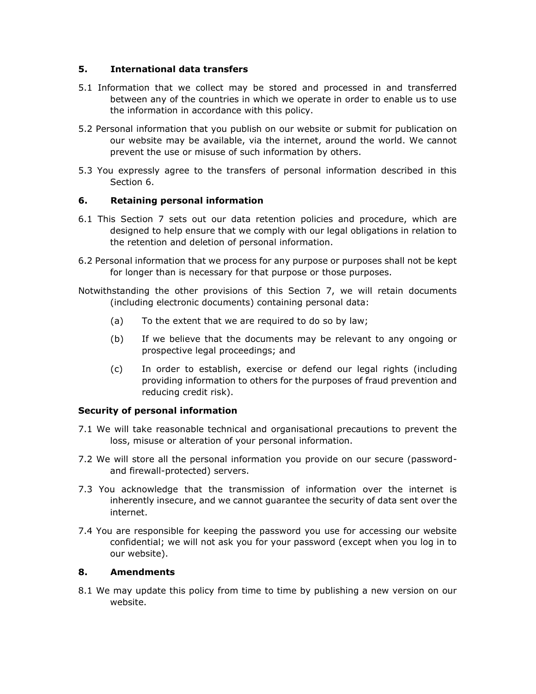# **5. International data transfers**

- 5.1 Information that we collect may be stored and processed in and transferred between any of the countries in which we operate in order to enable us to use the information in accordance with this policy.
- 5.2 Personal information that you publish on our website or submit for publication on our website may be available, via the internet, around the world. We cannot prevent the use or misuse of such information by others.
- 5.3 You expressly agree to the transfers of personal information described in this Section 6.

# **6. Retaining personal information**

- 6.1 This Section 7 sets out our data retention policies and procedure, which are designed to help ensure that we comply with our legal obligations in relation to the retention and deletion of personal information.
- 6.2 Personal information that we process for any purpose or purposes shall not be kept for longer than is necessary for that purpose or those purposes.
- Notwithstanding the other provisions of this Section 7, we will retain documents (including electronic documents) containing personal data:
	- (a) To the extent that we are required to do so by law;
	- (b) If we believe that the documents may be relevant to any ongoing or prospective legal proceedings; and
	- (c) In order to establish, exercise or defend our legal rights (including providing information to others for the purposes of fraud prevention and reducing credit risk).

#### **Security of personal information**

- 7.1 We will take reasonable technical and organisational precautions to prevent the loss, misuse or alteration of your personal information.
- 7.2 We will store all the personal information you provide on our secure (passwordand firewall-protected) servers.
- 7.3 You acknowledge that the transmission of information over the internet is inherently insecure, and we cannot guarantee the security of data sent over the internet.
- 7.4 You are responsible for keeping the password you use for accessing our website confidential; we will not ask you for your password (except when you log in to our website).

#### **8. Amendments**

8.1 We may update this policy from time to time by publishing a new version on our website.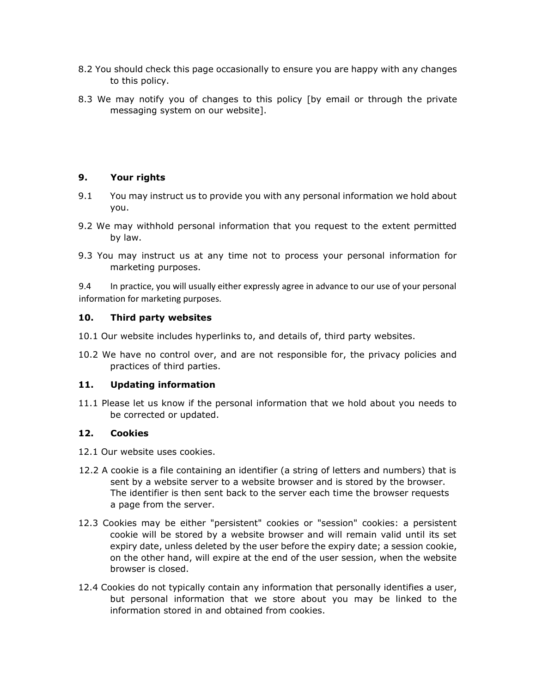- 8.2 You should check this page occasionally to ensure you are happy with any changes to this policy.
- 8.3 We may notify you of changes to this policy [by email or through the private messaging system on our website].

# **9. Your rights**

- 9.1 You may instruct us to provide you with any personal information we hold about you.
- 9.2 We may withhold personal information that you request to the extent permitted by law.
- 9.3 You may instruct us at any time not to process your personal information for marketing purposes.

9.4 In practice, you will usually either expressly agree in advance to our use of your personal information for marketing purposes.

# **10. Third party websites**

- 10.1 Our website includes hyperlinks to, and details of, third party websites.
- 10.2 We have no control over, and are not responsible for, the privacy policies and practices of third parties.

#### **11. Updating information**

11.1 Please let us know if the personal information that we hold about you needs to be corrected or updated.

#### **12. Cookies**

- 12.1 Our website uses cookies.
- 12.2 A cookie is a file containing an identifier (a string of letters and numbers) that is sent by a website server to a website browser and is stored by the browser. The identifier is then sent back to the server each time the browser requests a page from the server.
- 12.3 Cookies may be either "persistent" cookies or "session" cookies: a persistent cookie will be stored by a website browser and will remain valid until its set expiry date, unless deleted by the user before the expiry date; a session cookie, on the other hand, will expire at the end of the user session, when the website browser is closed.
- 12.4 Cookies do not typically contain any information that personally identifies a user, but personal information that we store about you may be linked to the information stored in and obtained from cookies.